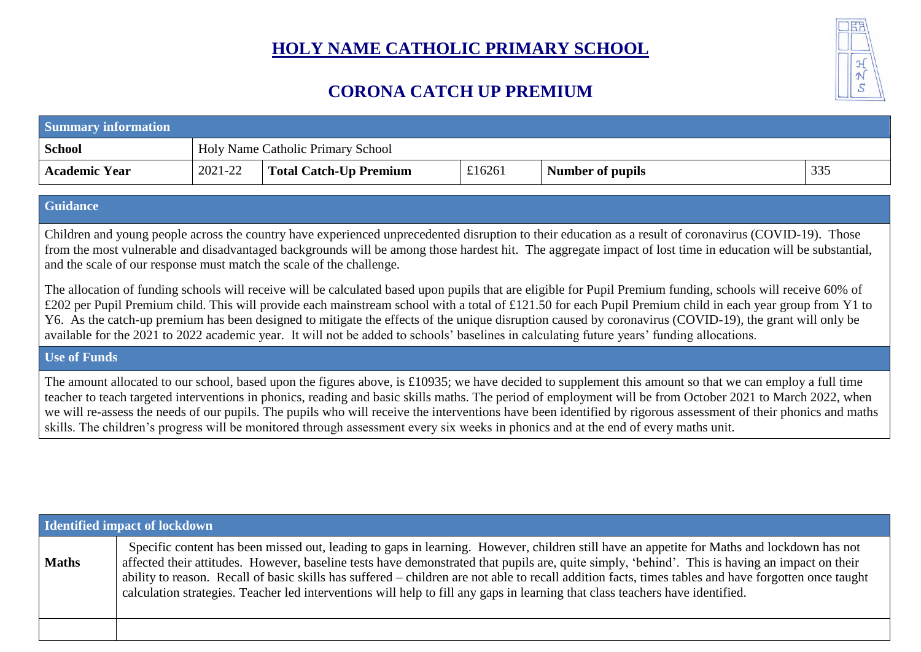## **HOLY NAME CATHOLIC PRIMARY SCHOOL**



## **CORONA CATCH UP PREMIUM**

| <b>Summary information</b> |                                          |                               |        |                         |     |  |  |  |  |  |
|----------------------------|------------------------------------------|-------------------------------|--------|-------------------------|-----|--|--|--|--|--|
| <b>School</b>              | <b>Holy Name Catholic Primary School</b> |                               |        |                         |     |  |  |  |  |  |
| <b>Academic Year</b>       | 2021-22                                  | <b>Total Catch-Up Premium</b> | £16261 | <b>Number of pupils</b> | 335 |  |  |  |  |  |

## **Guidance**

Children and young people across the country have experienced unprecedented disruption to their education as a result of coronavirus (COVID-19). Those from the most vulnerable and disadvantaged backgrounds will be among those hardest hit. The aggregate impact of lost time in education will be substantial, and the scale of our response must match the scale of the challenge.

The allocation of funding schools will receive will be calculated based upon pupils that are eligible for Pupil Premium funding, schools will receive 60% of £202 per Pupil Premium child. This will provide each mainstream school with a total of £121.50 for each Pupil Premium child in each year group from Y1 to Y6. As the catch-up premium has been designed to mitigate the effects of the unique disruption caused by coronavirus (COVID-19), the grant will only be available for the 2021 to 2022 academic year. It will not be added to schools' baselines in calculating future years' funding allocations.

## **Use of Funds**

The amount allocated to our school, based upon the figures above, is £10935; we have decided to supplement this amount so that we can employ a full time teacher to teach targeted interventions in phonics, reading and basic skills maths. The period of employment will be from October 2021 to March 2022, when we will re-assess the needs of our pupils. The pupils who will receive the interventions have been identified by rigorous assessment of their phonics and maths skills. The children's progress will be monitored through assessment every six weeks in phonics and at the end of every maths unit.

| Identified impact of lockdown |                                                                                                                                                                                                                                                                                                                                                                                                                                                                                                                                                                                       |  |  |  |  |
|-------------------------------|---------------------------------------------------------------------------------------------------------------------------------------------------------------------------------------------------------------------------------------------------------------------------------------------------------------------------------------------------------------------------------------------------------------------------------------------------------------------------------------------------------------------------------------------------------------------------------------|--|--|--|--|
| <b>Maths</b>                  | Specific content has been missed out, leading to gaps in learning. However, children still have an appetite for Maths and lockdown has not<br>affected their attitudes. However, baseline tests have demonstrated that pupils are, quite simply, 'behind'. This is having an impact on their<br>ability to reason. Recall of basic skills has suffered – children are not able to recall addition facts, times tables and have forgotten once taught<br>calculation strategies. Teacher led interventions will help to fill any gaps in learning that class teachers have identified. |  |  |  |  |
|                               |                                                                                                                                                                                                                                                                                                                                                                                                                                                                                                                                                                                       |  |  |  |  |